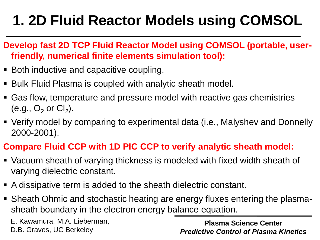# **1. 2D Fluid Reactor Models using COMSOL**

- **Develop fast 2D TCP Fluid Reactor Model using COMSOL (portable, userfriendly, numerical finite elements simulation tool):**
- Both inductive and capacitive coupling.
- Bulk Fluid Plasma is coupled with analytic sheath model.
- Gas flow, temperature and pressure model with reactive gas chemistries (e.g.,  $O_2$  or  $Cl_2$ ).
- Verify model by comparing to experimental data (i.e., Malyshev and Donnelly 2000-2001).

#### **Compare Fluid CCP with 1D PIC CCP to verify analytic sheath model:**

- Vacuum sheath of varying thickness is modeled with fixed width sheath of varying dielectric constant.
- A dissipative term is added to the sheath dielectric constant.
- Sheath Ohmic and stochastic heating are energy fluxes entering the plasmasheath boundary in the electron energy balance equation.

E. Kawamura, M.A. Lieberman, D.B. Graves, UC Berkeley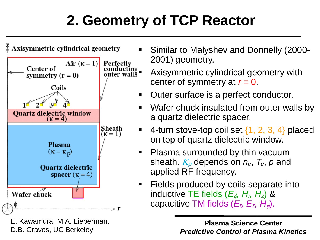# **2. Geometry of TCP Reactor**



E. Kawamura, M.A. Lieberman, D.B. Graves, UC Berkeley

- Similar to Malyshev and Donnelly (2000- 2001) geometry.
- conducting **Axisymmetric cylindrical geometry with** center of symmetry at *r* = 0.
	- Outer surface is a perfect conductor.
	- Wafer chuck insulated from outer walls by a quartz dielectric spacer.
	- $\blacksquare$  4-turn stove-top coil set  $\{1, 2, 3, 4\}$  placed on top of quartz dielectric window.
	- Plasma surrounded by thin vacuum sheath. <sup>K</sup>*<sup>p</sup>* depends on *ne*, *Te*, *p* and applied RF frequency.
	- Fields produced by coils separate into inductive TE fields ( $E_{\phi}$ ,  $H_{r}$ ,  $H_{z}$ ) & capacitive TM fields  $(E_r, E_z, H_\phi)$ .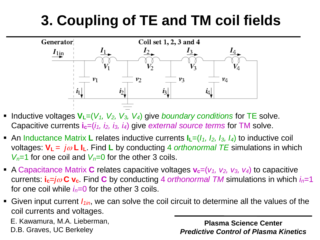# **3. Coupling of TE and TM coil fields**



- Inductive voltages  $V_L=(V_1, V_2, V_3, V_4)$  give *boundary conditions* for TE solve. Capacitive currents  $\mathbf{i}_c=(i_1, i_2, i_3, i_4)$  give *external source terms* for TM solve.
- **•** An Inductance Matrix **L** relates inductive currents  $I_L=(I_1, I_2, I_3, I_4)$  to inductive coil voltages:  $V_L = j\omega L L$ . Find L by conducting 4 *orthonormal TE* simulations in which  $V<sub>n</sub>=1$  for one coil and  $V<sub>n</sub>=0$  for the other 3 coils.
- A Capacitance Matrix C relates capacitive voltages  $v_c=(v_1, v_2, v_3, v_4)$  to capacitive currents:  $\mathbf{i}_c = j\omega \mathbf{C} \mathbf{v}_c$ . Find  $\mathbf{C}$  by conducting 4 *orthonormal TM* simulations in which  $i_n=1$ for one coil while  $i<sub>n</sub>=0$  for the other 3 coils.
- Given input current *I1in*, we can solve the coil circuit to determine all the values of the coil currents and voltages.

E. Kawamura, M.A. Lieberman, D.B. Graves, UC Berkeley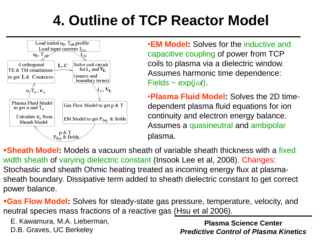# **4. Outline of TCP Reactor Model**



•**EM Model:** Solves for the inductive and capacitive coupling of power from TCP coils to plasma via a dielectric window. Assumes harmonic time dependence:  $Fields \sim exp(j\omega t)$ .

•**Plasma Fluid Model:** Solves the 2D timedependent plasma fluid equations for ion continuity and electron energy balance. Assumes a quasineutral and ambipolar plasma.

**Sheath Model:** Models a vacuum sheath of variable sheath thickness with a fixed width sheath of varying dielectric constant (Insook Lee et al, 2008). Changes: Stochastic and sheath Ohmic heating treated as incoming energy flux at plasmasheath boundary. Dissipative term added to sheath dielectric constant to get correct power balance.

**Gas Flow Model:** Solves for steady-state gas pressure, temperature, velocity, and neutral species mass fractions of a reactive gas (Hsu et al 2006).

E. Kawamura, M.A. Lieberman, D.B. Graves, UC Berkeley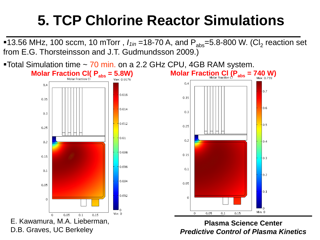## **5. TCP Chlorine Reactor Simulations**

■13.56 MHz, 100 sccm, 10 mTorr,  $I_{1in}$  =18-70 A, and P<sub>abs</sub>=5.8-800 W. (Cl<sub>2</sub> reaction set from E.G. Thorsteinsson and J.T. Gudmundsson 2009.)



■Total Simulation time ~ 70 min. on a 2.2 GHz CPU, 4GB RAM system.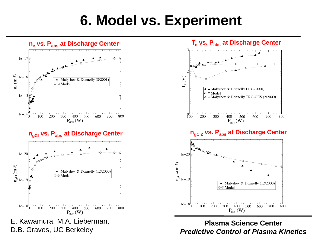#### **6. Model vs. Experiment**



D.B. Graves, UC Berkeley

*Predictive Control of Plasma Kinetics*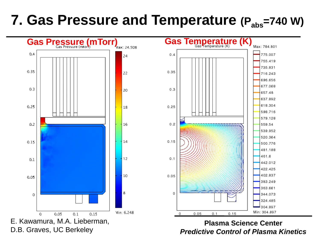#### **7. Gas Pressure and Temperature (Pabs=740 W)**



*Predictive Control of Plasma Kinetics*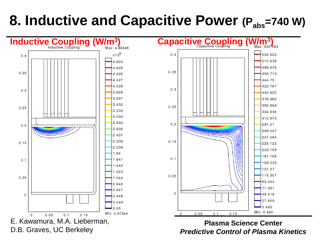### **8. Inductive and Capacitive Power (Pabs=740 W)**

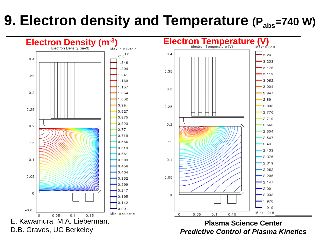#### **9. Electron density and Temperature (Pabs=740 W)**

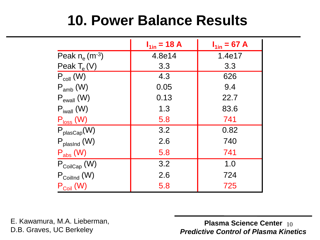#### **10. Power Balance Results**

|                               | $I_{1in} = 18 A$ | $I_{1in} = 67 A$ |
|-------------------------------|------------------|------------------|
| Peak $n_e$ (m <sup>-3</sup> ) | 4.8e14           | 1.4e17           |
| Peak $T_e(V)$                 | 3.3              | 3.3              |
| $P_{coll}$ (W)                | 4.3              | 626              |
| $P_{amb}$ (W)                 | 0.05             | 9.4              |
| $P_{\text{ewall}}(W)$         | 0.13             | 22.7             |
| $P_{iwall}$ (W)               | 1.3              | 83.6             |
| $P_{loss}$ (W)                | 5.8              | 741              |
| $P_{plasCap}(W)$              | 3.2              | 0.82             |
| $P_{plasInd}$ (W)             | 2.6              | 740              |
| $P_{\rm abs}$ (W)             | 5.8              | 741              |
| $P_{\text{CoilCap}}$ (W)      | 3.2              | 1.0              |
| $P_{\text{Coillnd}}$ (W)      | 2.6              | 724              |
| $P_{\text{Coil}}$ (W)         | 5.8              | 725              |

E. Kawamura, M.A. Lieberman, D.B. Graves, UC Berkeley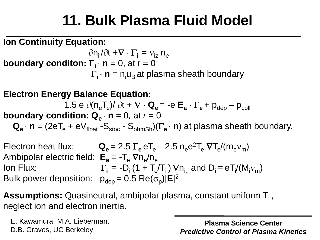## **11. Bulk Plasma Fluid Model**

**Ion Continuity Equation:**

 $\partial$ n<sub>i</sub> / $\partial$ t + $\nabla \cdot \Gamma_i = v_{iz}$  n<sub>e</sub> **boundary conditon:**  $\Gamma_i \cdot \mathbf{n} = 0$ , at  $\mathbf{r} = 0$  $\Gamma_i \cdot \mathbf{n} = n_i u_B$  at plasma sheath boundary

**Electron Energy Balance Equation:** 

1.5 e  $\partial (n_e T_e) / \partial t + \nabla \cdot \mathbf{Q_e} = -e \mathbf{E_a} \cdot \Gamma_e + p_{dep} - p_{coll}$ 

**boundary condition:**  $Q_{\bf a} \cdot {\bf n} = 0$ **, at**  $r = 0$ 

 $\mathbf{Q}_{\mathbf{e}} \cdot \mathbf{n} = (2eT_{\mathbf{e}} + eV_{\text{float}} - S_{\text{stoc}} - S_{\text{ohmSh}})(\Gamma_{\mathbf{e}} \cdot \mathbf{n})$  at plasma sheath boundary,

Electron heat flux:  $Q_e = 2.5 \Gamma_e e T_e - 2.5 n_e e^2 T_e \nabla T_e / (m_e v_m)$ Ambipolar electric field:  $E_a = -T_e \nabla n_e/n_e$ Ion Flux:  $\Gamma_i = -D_i (1 + T_e/T_i) \nabla n_{i,j}$  and  $D_i = eT_i/(M_i v_m)$ Bulk power deposition:  $p_{dep} = 0.5 \text{ Re}(\sigma_p) |\mathbf{E}|^2$ 

**Assumptions:** Quasineutral, ambipolar plasma, constant uniform T<sub>i</sub>, neglect ion and electron inertia.

E. Kawamura, M.A. Lieberman, D.B. Graves, UC Berkeley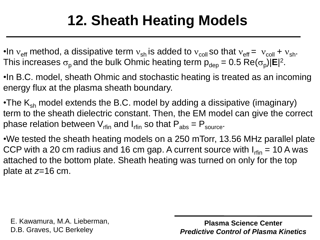# **12. Sheath Heating Models**

- •In  $v_{\text{eff}}$  method, a dissipative term  $v_{\text{sh}}$  is added to  $v_{\text{coll}}$  so that  $v_{\text{eff}} = v_{\text{coll}} + v_{\text{sh}}$ . This increases  $\sigma_{\sf p}$  and the bulk Ohmic heating term  ${\sf p}_{\sf dep}$  = 0.5 Re( $\sigma_{\sf p}$ )|**E**|<sup>2</sup>.
- •In B.C. model, sheath Ohmic and stochastic heating is treated as an incoming energy flux at the plasma sheath boundary.
- •The  $K_{sh}$  model extends the B.C. model by adding a dissipative (imaginary) term to the sheath dielectric constant. Then, the EM model can give the correct phase relation between  $V_{\text{rfin}}$  and  $I_{\text{rfin}}$  so that  $P_{\text{abs}} = P_{\text{source}}$ .
- •We tested the sheath heating models on a 250 mTorr, 13.56 MHz parallel plate CCP with a 20 cm radius and 16 cm gap. A current source with  $I_{rfin}$  = 10 A was attached to the bottom plate. Sheath heating was turned on only for the top plate at *z*=16 cm.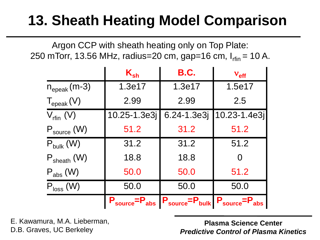## **13. Sheath Heating Model Comparison**

Argon CCP with sheath heating only on Top Plate: 250 mTorr, 13.56 MHz, radius=20 cm, gap=16 cm,  $I_{rfin}$  = 10 A.

|                         | $K_{sh}$             | B.C.                                         | $V_{\text{eff}}$  |
|-------------------------|----------------------|----------------------------------------------|-------------------|
| $n_{\rm{epeak}}$ (m-3)  | 1.3e17               | 1.3e17                                       | 1.5e17            |
| $T_{\text{epeak}}(V)$   | 2.99                 | 2.99                                         | 2.5               |
| $V_{\text{rfin}}$ (V)   | 10.25-1.3e3j         | 6.24-1.3e3j                                  | $ 10.23 - 1.4e3 $ |
| $P_{source}$ (W)        | 51.2                 | 31.2                                         | 51.2              |
| $P_{bulk}$ (W)          | 31.2                 | 31.2                                         | 51.2              |
| $P_{\text{sheath}}$ (W) | 18.8                 | 18.8                                         |                   |
| $P_{\rm abs}$ (W)       | 50.0                 | 50.0                                         | 51.2              |
| $P_{loss}$ (W)          | 50.0                 | 50.0                                         | 50.0              |
|                         | $P_{source}=P_{abs}$ | $P_{source} = P_{bulk} P_{source} = P_{abs}$ |                   |

E. Kawamura, M.A. Lieberman, D.B. Graves, UC Berkeley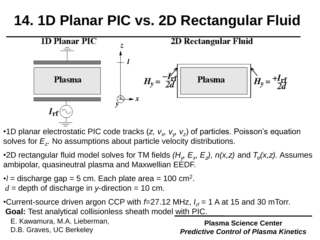## **14. 1D Planar PIC vs. 2D Rectangular Fluid**



•1D planar electrostatic PIC code tracks (*z, v<sub>x</sub>, v<sub>y</sub>, v<sub>z</sub>)* of particles. Poisson's equation solves for *E<sup>z</sup>* . No assumptions about particle velocity distributions.

•2D rectangular fluid model solves for TM fields ( $H_y$ ,  $E_x$ ,  $E_z$ ),  $n(x,z)$  and  $T_e(x,z)$ . Assumes ambipolar, quasineutral plasma and Maxwellian EEDF.

 $\bullet$ *l* = discharge gap = 5 cm. Each plate area = 100 cm<sup>2</sup>.  $d =$  depth of discharge in *y*-direction = 10 cm.

•Current-source driven argon CCP with *f*=27.12 MHz, *I rf* = 1 A at 15 and 30 mTorr. **Goal:** Test analytical collisionless sheath model with PIC.

E. Kawamura, M.A. Lieberman,

D.B. Graves, UC Berkeley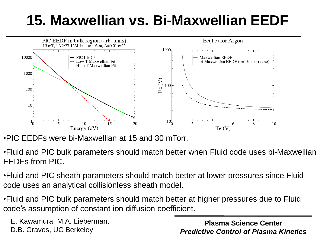# **15. Maxwellian vs. Bi-Maxwellian EEDF**



•PIC EEDFs were bi-Maxwellian at 15 and 30 mTorr.

•Fluid and PIC bulk parameters should match better when Fluid code uses bi-Maxwellian EEDFs from PIC.

•Fluid and PIC sheath parameters should match better at lower pressures since Fluid code uses an analytical collisionless sheath model.

•Fluid and PIC bulk parameters should match better at higher pressures due to Fluid code's assumption of constant ion diffusion coefficient.

E. Kawamura, M.A. Lieberman, D.B. Graves, UC Berkeley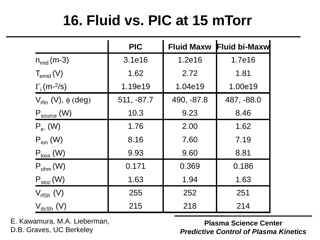## **16. Fluid vs. PIC at 15 mTorr**

|                                            | <b>PIC</b> |            | Fluid Maxw Fluid bi-Maxw |
|--------------------------------------------|------------|------------|--------------------------|
| $n_{mid}(m-3)$                             | 3.1e16     | 1.2e16     | 1.7e16                   |
| $T_{\rm{emid}}(V)$                         | 1.62       | 2.72       | 1.81                     |
| $\Gamma$ <sub>i</sub> (m- <sup>2</sup> /s) | 1.19e19    | 1.04e19    | 1.00e19                  |
| $V_{\text{rfin}}$ (V), $\phi$ (deg)        | 511, -87.7 | 490, -87.8 | 487, -88.0               |
| $P_{source}$ (W)                           | 10.3       | 9.23       | 8.46                     |
| $P_{e}$ (W)                                | 1.76       | 2.00       | 1.62                     |
| $P_{ion}$ (W)                              | 8.16       | 7.60       | 7.19                     |
| $P_{loss}$ (W)                             | 9.93       | 9.60       | 8.81                     |
| $P_{ohm}$ (W)                              | 0.171      | 0.369      | 0.186                    |
| $P_{\text{stoc}}(W)$                       | 1.63       | 1.94       | 1.63                     |
| $V_{rfSh}$ (V)                             | 255        | 252        | 251                      |
| $\rm V_{dcSh}$ (V)                         | 215        | 218        | 214                      |

E. Kawamura, M.A. Lieberman, D.B. Graves, UC Berkeley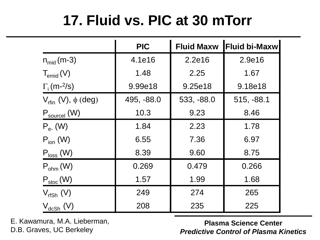## **17. Fluid vs. PIC at 30 mTorr**

|                                            | <b>PIC</b> | <b>Fluid Maxw</b> | Fluid bi-Maxw |
|--------------------------------------------|------------|-------------------|---------------|
| $n_{mid}(m-3)$                             | 4.1e16     | 2.2e16            | 2.9e16        |
| $T_{\rm{emid}}(V)$                         | 1.48       | 2.25              | 1.67          |
| $\Gamma$ <sub>i</sub> (m- <sup>2</sup> /s) | 9.99e18    | 9.25e18           | 9.18e18       |
| $V_{\text{rfin}}$ (V), $\phi$ (deg)        | 495, -88.0 | 533, -88.0        | 515, -88.1    |
| $P_{source}$ (W)                           | 10.3       | 9.23              | 8.46          |
| $P_{e}$ (W)                                | 1.84       | 2.23              | 1.78          |
| $P_{ion}$ (W)                              | 6.55       | 7.36              | 6.97          |
| $P_{loss}$ (W)                             | 8.39       | 9.60              | 8.75          |
| $P_{ohm}$ (W)                              | 0.269      | 0.479             | 0.266         |
| $P_{\text{stoc}}(W)$                       | 1.57       | 1.99              | 1.68          |
| $V_{rfSh}$ (V)                             | 249        | 274               | 265           |
| $V_{dcSh}$ (V)                             | 208        | 235               | 225           |

E. Kawamura, M.A. Lieberman, D.B. Graves, UC Berkeley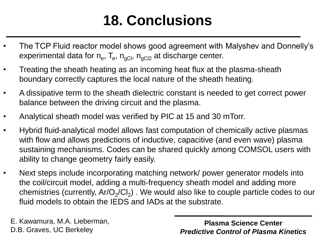# **18. Conclusions**

- The TCP Fluid reactor model shows good agreement with Malyshev and Donnelly's experimental data for n<sub>e</sub>, T<sub>e</sub>, n<sub>gCl</sub>, n<sub>gCl2</sub> at discharge center.
- Treating the sheath heating as an incoming heat flux at the plasma-sheath boundary correctly captures the local nature of the sheath heating.
- A dissipative term to the sheath dielectric constant is needed to get correct power balance between the driving circuit and the plasma.
- Analytical sheath model was verified by PIC at 15 and 30 mTorr.
- Hybrid fluid-analytical model allows fast computation of chemically active plasmas with flow and allows predictions of inductive, capacitive (and even wave) plasma sustaining mechanisms. Codes can be shared quickly among COMSOL users with ability to change geometry fairly easily.
- Next steps include incorporating matching network/ power generator models into the coil/circuit model, adding a multi-frequency sheath model and adding more chemistries (currently, Ar/O<sub>2</sub>/Cl<sub>2</sub>) . We would also like to couple particle codes to our fluid models to obtain the IEDS and IADs at the substrate.

E. Kawamura, M.A. Lieberman, D.B. Graves, UC Berkeley